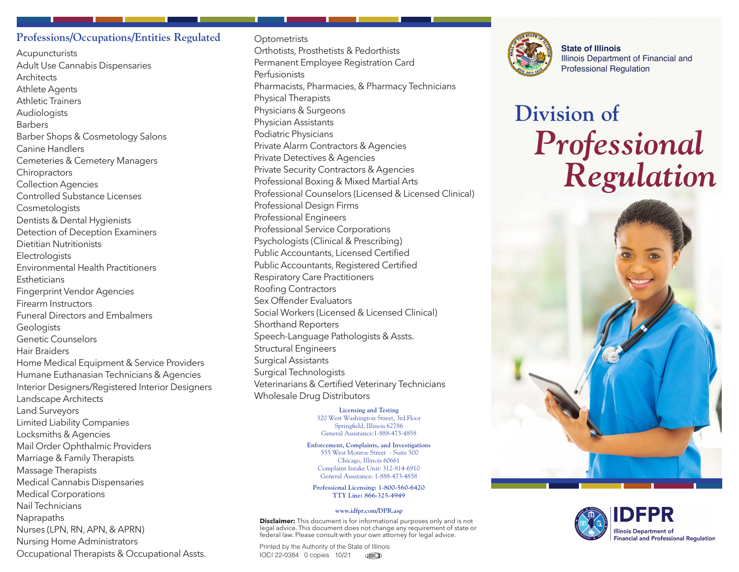# **Professions/Occupations/Entities Regulated**

Acupuncturists Adult Use Cannabis Dispensaries **Architects** Athlete Agents Athletic Trainers Audiologists Barbers Barber Shops & Cosmetology Salons Canine Handlers Cemeteries & Cemetery Managers **Chiropractors** Collection Agencies Controlled Substance Licenses **Cosmetologists** Dentists & Dental Hygienists Detection of Deception Examiners Dietitian Nutritionists Electrologists Environmental Health Practitioners **Estheticians** Fingerprint Vendor Agencies Firearm Instructors Funeral Directors and Embalmers **Geologists** Genetic Counselors Hair Braiders Home Medical Equipment & Service Providers Humane Euthanasian Technicians & Agencies Interior Designers/Registered Interior Designers Landscape Architects Land Surveyors Limited Liability Companies Locksmiths & Agencies Mail Order Ophthalmic Providers Marriage & Family Therapists Massage Therapists Medical Cannabis Dispensaries Medical Corporations Nail Technicians Naprapaths Nurses (LPN, RN, APN, & APRN) Nursing Home Administrators Occupational Therapists & Occupational Assts.

**Optometrists** Orthotists, Prosthetists & Pedorthists Permanent Employee Registration Card Perfusionists Pharmacists, Pharmacies, & Pharmacy Technicians Physical Therapists Physicians & Surgeons Physician Assistants Podiatric Physicians Private Alarm Contractors & Agencies Private Detectives & Agencies Private Security Contractors & Agencies Professional Boxing & Mixed Martial Arts Professional Counselors (Licensed & Licensed Clinical) Professional Design Firms Professional Engineers Professional Service Corporations Psychologists (Clinical & Prescribing) Public Accountants, Licensed Certified Public Accountants, Registered Certified Respiratory Care Practitioners Roofing Contractors Sex Offender Evaluators Social Workers (Licensed & Licensed Clinical) Shorthand Reporters Speech-Language Pathologists & Assts. Structural Engineers Surgical Assistants Surgical Technologists Veterinarians & Certified Veterinary Technicians Wholesale Drug Distributors

> **Licensing and Testing**  320 West Washington Street, 3rd Floor Springfield, Illinois 62786 General Assistance:1-888-473-4858

**Enforcement, Complaints, and Investigations**  555 West Monroe Street - Suite 500 Chicago, Illinois 60661 Complaint Intake Unit: 312-814-6910 General Assistance: 1-888-473-4858

**Professional Licensing: 1-800-560-6420 TTY Line: 866-325-4949** 

#### **[www.idfpr.com/DPR.asp](http://www.idfpr.com/DPR.asp)**

 **Disclaimer:** This document is for informational purposes only and is not legal advice. This document does not change any requirement of state or federal law. Please consult with your own attorney for legal advice.

Printed by the Authority of the State of Illinois IOCI 22-0384 0 copies 10/21 (dec)



**State of Illinois** Illinois Department of Financial and Professional Regulation

# Division of<br>**Professional** *Regulation*